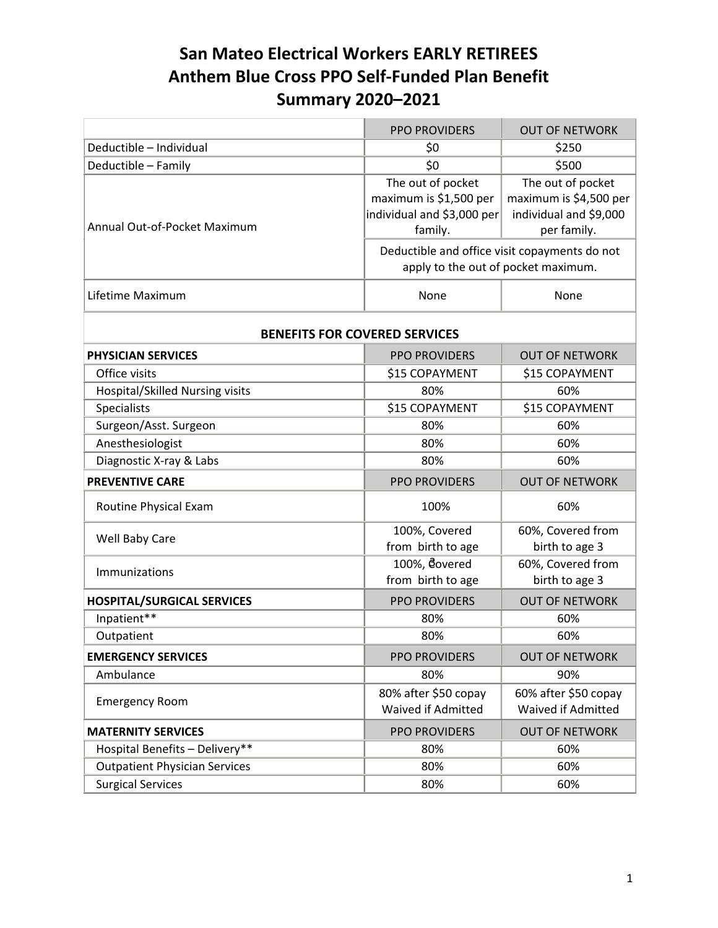## **San Mateo Electrical Workers EARLY RETIREES Anthem Blue Cross PPO Self‐Funded Plan Benefit Summary 2020–2021**

|                                        | <b>PPO PROVIDERS</b>                                                                 | <b>OUT OF NETWORK</b>                                                                |  |  |
|----------------------------------------|--------------------------------------------------------------------------------------|--------------------------------------------------------------------------------------|--|--|
| Deductible - Individual                | \$0                                                                                  | \$250                                                                                |  |  |
| Deductible - Family                    | \$0                                                                                  | \$500                                                                                |  |  |
| Annual Out-of-Pocket Maximum           | The out of pocket<br>maximum is \$1,500 per<br>individual and \$3,000 per<br>family. | The out of pocket<br>maximum is \$4,500 per<br>individual and \$9,000<br>per family. |  |  |
|                                        | Deductible and office visit copayments do not<br>apply to the out of pocket maximum. |                                                                                      |  |  |
| Lifetime Maximum                       | None                                                                                 | None                                                                                 |  |  |
| <b>BENEFITS FOR COVERED SERVICES</b>   |                                                                                      |                                                                                      |  |  |
| <b>PHYSICIAN SERVICES</b>              | <b>PPO PROVIDERS</b>                                                                 | <b>OUT OF NETWORK</b>                                                                |  |  |
| Office visits                          | \$15 COPAYMENT                                                                       | \$15 COPAYMENT                                                                       |  |  |
| <b>Hospital/Skilled Nursing visits</b> | 80%                                                                                  | 60%                                                                                  |  |  |
| <b>Specialists</b>                     | \$15 COPAYMENT                                                                       | \$15 COPAYMENT                                                                       |  |  |
| Surgeon/Asst. Surgeon                  | 80%                                                                                  | 60%                                                                                  |  |  |
| Anesthesiologist                       | 80%                                                                                  | 60%                                                                                  |  |  |
| Diagnostic X-ray & Labs                | 80%                                                                                  | 60%                                                                                  |  |  |
| <b>PREVENTIVE CARE</b>                 | <b>PPO PROVIDERS</b>                                                                 | <b>OUT OF NETWORK</b>                                                                |  |  |
| Routine Physical Exam                  | 100%                                                                                 | 60%                                                                                  |  |  |
| Well Baby Care                         | 100%, Covered<br>from birth to age                                                   | 60%, Covered from<br>birth to age 3                                                  |  |  |
| Immunizations                          | 100%, Covered<br>from birth to age                                                   | 60%, Covered from<br>birth to age 3                                                  |  |  |
| <b>HOSPITAL/SURGICAL SERVICES</b>      | <b>PPO PROVIDERS</b>                                                                 | <b>OUT OF NETWORK</b>                                                                |  |  |
| Inpatient**                            | 80%                                                                                  | 60%                                                                                  |  |  |
| Outpatient                             | 80%                                                                                  | 60%                                                                                  |  |  |
| <b>EMERGENCY SERVICES</b>              | <b>PPO PROVIDERS</b>                                                                 | <b>OUT OF NETWORK</b>                                                                |  |  |
| Ambulance                              | 80%                                                                                  | 90%                                                                                  |  |  |
| <b>Emergency Room</b>                  | 80% after \$50 copay<br>Waived if Admitted                                           | 60% after \$50 copay<br>Waived if Admitted                                           |  |  |
| <b>MATERNITY SERVICES</b>              | <b>PPO PROVIDERS</b>                                                                 | <b>OUT OF NETWORK</b>                                                                |  |  |
| Hospital Benefits - Delivery**         | 80%                                                                                  | 60%                                                                                  |  |  |
| <b>Outpatient Physician Services</b>   | 80%                                                                                  | 60%                                                                                  |  |  |
| <b>Surgical Services</b>               | 80%                                                                                  | 60%                                                                                  |  |  |